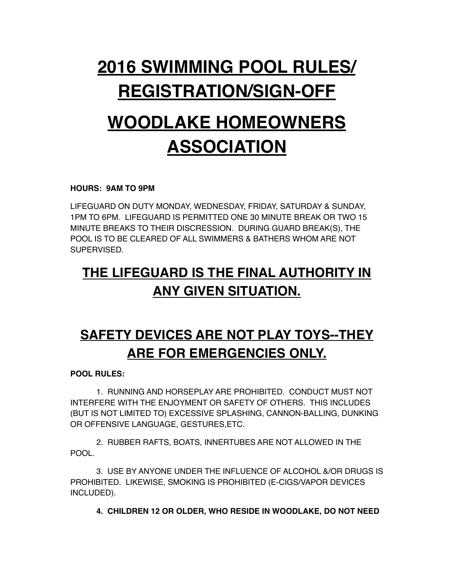# **2016 SWIMMING POOL RULES/ REGISTRATION/SIGN-OFF**

# **WOODLAKE HOMEOWNERS ASSOCIATION**

#### **HOURS: 9AM TO 9PM**

LIFEGUARD ON DUTY MONDAY, WEDNESDAY, FRIDAY, SATURDAY & SUNDAY, 1PM TO 6PM. LIFEGUARD IS PERMITTED ONE 30 MINUTE BREAK OR TWO 15 MINUTE BREAKS TO THEIR DISCRESSION. DURING GUARD BREAK(S), THE POOL IS TO BE CLEARED OF ALL SWIMMERS & BATHERS WHOM ARE NOT SUPERVISED.

### **THE LIFEGUARD IS THE FINAL AUTHORITY IN ANY GIVEN SITUATION.**

## **SAFETY DEVICES ARE NOT PLAY TOYS--THEY ARE FOR EMERGENCIES ONLY.**

#### **POOL RULES:**

1. RUNNING AND HORSEPLAY ARE PROHIBITED. CONDUCT MUST NOT INTERFERE WITH THE ENJOYMENT OR SAFETY OF OTHERS. THIS INCLUDES (BUT IS NOT LIMITED TO) EXCESSIVE SPLASHING, CANNON-BALLING, DUNKING OR OFFENSIVE LANGUAGE, GESTURES,ETC.

2. RUBBER RAFTS, BOATS, INNERTUBES ARE NOT ALLOWED IN THE POOL.

3. USE BY ANYONE UNDER THE INFLUENCE OF ALCOHOL &/OR DRUGS IS PROHIBITED. LIKEWISE, SMOKING IS PROHIBITED (E-CIGS/VAPOR DEVICES INCLUDED).

**4. CHILDREN 12 OR OLDER, WHO RESIDE IN WOODLAKE, DO NOT NEED**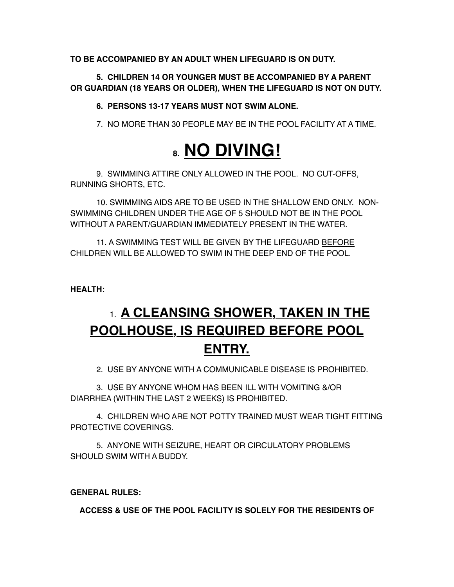**TO BE ACCOMPANIED BY AN ADULT WHEN LIFEGUARD IS ON DUTY.**

**5. CHILDREN 14 OR YOUNGER MUST BE ACCOMPANIED BY A PARENT OR GUARDIAN (18 YEARS OR OLDER), WHEN THE LIFEGUARD IS NOT ON DUTY.**

**6. PERSONS 13-17 YEARS MUST NOT SWIM ALONE.**

7. NO MORE THAN 30 PEOPLE MAY BE IN THE POOL FACILITY AT A TIME.

## **8. NO DIVING!**

9. SWIMMING ATTIRE ONLY ALLOWED IN THE POOL. NO CUT-OFFS, RUNNING SHORTS, ETC.

10. SWIMMING AIDS ARE TO BE USED IN THE SHALLOW END ONLY. NON-SWIMMING CHILDREN UNDER THE AGE OF 5 SHOULD NOT BE IN THE POOL WITHOUT A PARENT/GUARDIAN IMMEDIATELY PRESENT IN THE WATER.

11. A SWIMMING TEST WILL BE GIVEN BY THE LIFEGUARD BEFORE CHILDREN WILL BE ALLOWED TO SWIM IN THE DEEP END OF THE POOL.

**HEALTH:**

## 1. **A CLEANSING SHOWER, TAKEN IN THE POOLHOUSE, IS REQUIRED BEFORE POOL ENTRY.**

2. USE BY ANYONE WITH A COMMUNICABLE DISEASE IS PROHIBITED.

3. USE BY ANYONE WHOM HAS BEEN ILL WITH VOMITING &/OR DIARRHEA (WITHIN THE LAST 2 WEEKS) IS PROHIBITED.

4. CHILDREN WHO ARE NOT POTTY TRAINED MUST WEAR TIGHT FITTING PROTECTIVE COVERINGS.

5. ANYONE WITH SEIZURE, HEART OR CIRCULATORY PROBLEMS SHOULD SWIM WITH A BUDDY.

#### **GENERAL RULES:**

**ACCESS & USE OF THE POOL FACILITY IS SOLELY FOR THE RESIDENTS OF**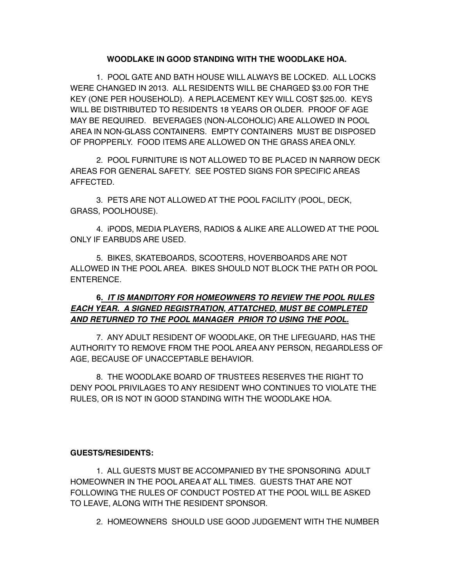#### **WOODLAKE IN GOOD STANDING WITH THE WOODLAKE HOA.**

1. POOL GATE AND BATH HOUSE WILL ALWAYS BE LOCKED. ALL LOCKS WERE CHANGED IN 2013. ALL RESIDENTS WILL BE CHARGED \$3.00 FOR THE KEY (ONE PER HOUSEHOLD). A REPLACEMENT KEY WILL COST \$25.00. KEYS WILL BE DISTRIBUTED TO RESIDENTS 18 YEARS OR OLDER. PROOF OF AGE MAY BE REQUIRED. BEVERAGES (NON-ALCOHOLIC) ARE ALLOWED IN POOL AREA IN NON-GLASS CONTAINERS. EMPTY CONTAINERS MUST BE DISPOSED OF PROPPERLY. FOOD ITEMS ARE ALLOWED ON THE GRASS AREA ONLY.

2. POOL FURNITURE IS NOT ALLOWED TO BE PLACED IN NARROW DECK AREAS FOR GENERAL SAFETY. SEE POSTED SIGNS FOR SPECIFIC AREAS AFFECTED.

3. PETS ARE NOT ALLOWED AT THE POOL FACILITY (POOL, DECK, GRASS, POOLHOUSE).

4. iPODS, MEDIA PLAYERS, RADIOS & ALIKE ARE ALLOWED AT THE POOL ONLY IF EARBUDS ARE USED.

5. BIKES, SKATEBOARDS, SCOOTERS, HOVERBOARDS ARE NOT ALLOWED IN THE POOL AREA. BIKES SHOULD NOT BLOCK THE PATH OR POOL ENTERENCE.

#### **6***. IT IS MANDITORY FOR HOMEOWNERS TO REVIEW THE POOL RULES EACH YEAR. A SIGNED REGISTRATION, ATTATCHED, MUST BE COMPLETED AND RETURNED TO THE POOL MANAGER PRIOR TO USING THE POOL.*

7. ANY ADULT RESIDENT OF WOODLAKE, OR THE LIFEGUARD, HAS THE AUTHORITY TO REMOVE FROM THE POOL AREA ANY PERSON, REGARDLESS OF AGE, BECAUSE OF UNACCEPTABLE BEHAVIOR.

8. THE WOODLAKE BOARD OF TRUSTEES RESERVES THE RIGHT TO DENY POOL PRIVILAGES TO ANY RESIDENT WHO CONTINUES TO VIOLATE THE RULES, OR IS NOT IN GOOD STANDING WITH THE WOODLAKE HOA.

#### **GUESTS/RESIDENTS:**

1. ALL GUESTS MUST BE ACCOMPANIED BY THE SPONSORING ADULT HOMEOWNER IN THE POOL AREA AT ALL TIMES. GUESTS THAT ARE NOT FOLLOWING THE RULES OF CONDUCT POSTED AT THE POOL WILL BE ASKED TO LEAVE, ALONG WITH THE RESIDENT SPONSOR.

2. HOMEOWNERS SHOULD USE GOOD JUDGEMENT WITH THE NUMBER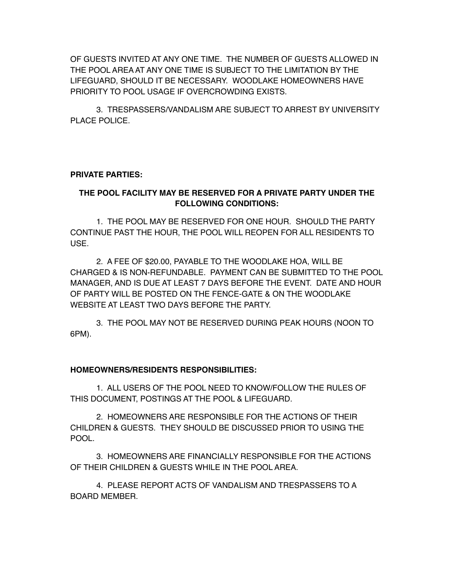OF GUESTS INVITED AT ANY ONE TIME. THE NUMBER OF GUESTS ALLOWED IN THE POOL AREA AT ANY ONE TIME IS SUBJECT TO THE LIMITATION BY THE LIFEGUARD, SHOULD IT BE NECESSARY. WOODLAKE HOMEOWNERS HAVE PRIORITY TO POOL USAGE IF OVERCROWDING EXISTS.

3. TRESPASSERS/VANDALISM ARE SUBJECT TO ARREST BY UNIVERSITY PLACE POLICE.

#### **PRIVATE PARTIES:**

#### **THE POOL FACILITY MAY BE RESERVED FOR A PRIVATE PARTY UNDER THE FOLLOWING CONDITIONS:**

1. THE POOL MAY BE RESERVED FOR ONE HOUR. SHOULD THE PARTY CONTINUE PAST THE HOUR, THE POOL WILL REOPEN FOR ALL RESIDENTS TO USE.

2. A FEE OF \$20.00, PAYABLE TO THE WOODLAKE HOA, WILL BE CHARGED & IS NON-REFUNDABLE. PAYMENT CAN BE SUBMITTED TO THE POOL MANAGER, AND IS DUE AT LEAST 7 DAYS BEFORE THE EVENT. DATE AND HOUR OF PARTY WILL BE POSTED ON THE FENCE-GATE & ON THE WOODLAKE WEBSITE AT LEAST TWO DAYS BEFORE THE PARTY.

3. THE POOL MAY NOT BE RESERVED DURING PEAK HOURS (NOON TO 6PM).

#### **HOMEOWNERS/RESIDENTS RESPONSIBILITIES:**

1. ALL USERS OF THE POOL NEED TO KNOW/FOLLOW THE RULES OF THIS DOCUMENT, POSTINGS AT THE POOL & LIFEGUARD.

2. HOMEOWNERS ARE RESPONSIBLE FOR THE ACTIONS OF THEIR CHILDREN & GUESTS. THEY SHOULD BE DISCUSSED PRIOR TO USING THE POOL.

3. HOMEOWNERS ARE FINANCIALLY RESPONSIBLE FOR THE ACTIONS OF THEIR CHILDREN & GUESTS WHILE IN THE POOL AREA.

4. PLEASE REPORT ACTS OF VANDALISM AND TRESPASSERS TO A BOARD MEMBER.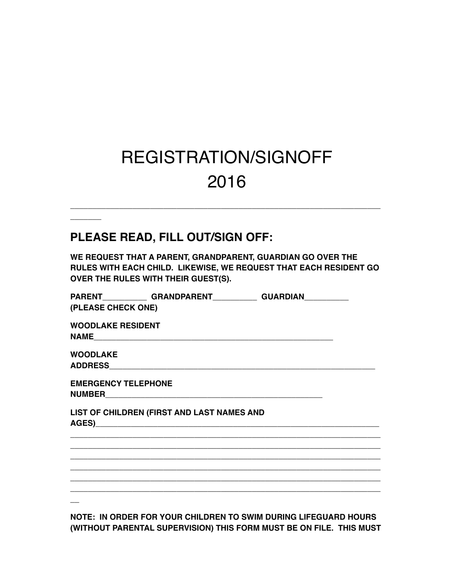# REGISTRATION/SIGNOFF 2016

\_\_\_\_\_\_\_\_\_\_\_\_\_\_\_\_\_\_\_\_\_\_\_\_\_\_\_\_\_\_\_\_\_\_\_\_\_\_\_\_\_\_\_\_\_\_\_\_\_\_\_\_\_\_\_\_\_\_\_\_\_\_\_\_\_\_\_\_\_\_

#### **PLEASE READ, FILL OUT/SIGN OFF:**

 $\overline{\phantom{a}}$ 

**WE REQUEST THAT A PARENT, GRANDPARENT, GUARDIAN GO OVER THE RULES WITH EACH CHILD. LIKEWISE, WE REQUEST THAT EACH RESIDENT GO OVER THE RULES WITH THEIR GUEST(S).**

|                            |                                            | PARENT GRANDPARENT GUARDIAN |  |
|----------------------------|--------------------------------------------|-----------------------------|--|
| (PLEASE CHECK ONE)         |                                            |                             |  |
| <b>WOODLAKE RESIDENT</b>   |                                            |                             |  |
|                            |                                            |                             |  |
| <b>WOODLAKE</b>            |                                            |                             |  |
|                            |                                            |                             |  |
| <b>EMERGENCY TELEPHONE</b> |                                            |                             |  |
|                            |                                            |                             |  |
|                            | LIST OF CHILDREN (FIRST AND LAST NAMES AND |                             |  |
|                            |                                            |                             |  |
|                            |                                            |                             |  |
|                            |                                            |                             |  |
|                            |                                            |                             |  |
|                            |                                            |                             |  |
|                            |                                            |                             |  |
|                            |                                            |                             |  |
|                            |                                            |                             |  |
|                            |                                            |                             |  |

**NOTE: IN ORDER FOR YOUR CHILDREN TO SWIM DURING LIFEGUARD HOURS (WITHOUT PARENTAL SUPERVISION) THIS FORM MUST BE ON FILE. THIS MUST**